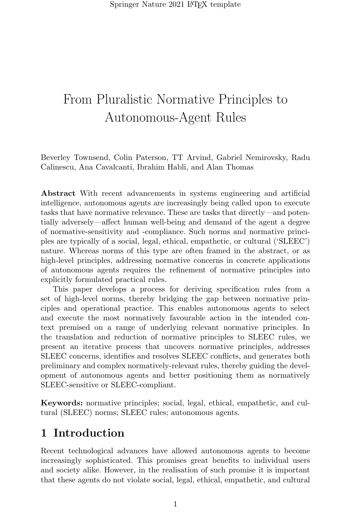Beverley Townsend, Colin Paterson, TT Arvind, Gabriel Nemirovsky, Radu Calinescu, Ana Cavalcanti, Ibrahim Habli, and Alan Thomas

Abstract With recent advancements in systems engineering and artificial intelligence, autonomous agents are increasingly being called upon to execute tasks that have normative relevance. These are tasks that directly—and potentially adversely—affect human well-being and demand of the agent a degree of normative-sensitivity and -compliance. Such norms and normative principles are typically of a social, legal, ethical, empathetic, or cultural ('SLEEC') nature. Whereas norms of this type are often framed in the abstract, or as high-level principles, addressing normative concerns in concrete applications of autonomous agents requires the refinement of normative principles into explicitly formulated practical rules.

This paper develops a process for deriving specification rules from a set of high-level norms, thereby bridging the gap between normative principles and operational practice. This enables autonomous agents to select and execute the most normatively favourable action in the intended context premised on a range of underlying relevant normative principles. In the translation and reduction of normative principles to SLEEC rules, we present an iterative process that uncovers normative principles, addresses SLEEC concerns, identifies and resolves SLEEC conflicts, and generates both preliminary and complex normatively-relevant rules, thereby guiding the development of autonomous agents and better positioning them as normatively SLEEC-sensitive or SLEEC-compliant.

Keywords: normative principles; social, legal, ethical, empathetic, and cultural (SLEEC) norms; SLEEC rules; autonomous agents.

## 1 Introduction

Recent technological advances have allowed autonomous agents to become increasingly sophisticated. This promises great benefits to individual users and society alike. However, in the realisation of such promise it is important that these agents do not violate social, legal, ethical, empathetic, and cultural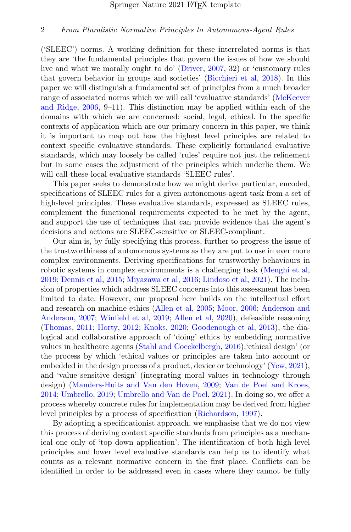('SLEEC') norms. A working definition for these interrelated norms is that they are 'the fundamental principles that govern the issues of how we should live and what we morally ought to do' [\(Driver,](#page-26-0) [2007,](#page-26-0) 32) or 'customary rules that govern behavior in groups and societies' [\(Bicchieri et al,](#page-25-0) [2018\)](#page-25-0). In this paper we will distinguish a fundamental set of principles from a much broader range of associated norms which we will call 'evaluative standards' [\(McKeever](#page-27-0) [and Ridge,](#page-27-0) [2006,](#page-27-0) 9–11). This distinction may be applied within each of the domains with which we are concerned: social, legal, ethical. In the specific contexts of application which are our primary concern in this paper, we think it is important to map out how the highest level principles are related to context specific evaluative standards. These explicitly formulated evaluative standards, which may loosely be called 'rules' require not just the refinement but in some cases the adjustment of the principles which underlie them. We will call these local evaluative standards 'SLEEC rules'.

This paper seeks to demonstrate how we might derive particular, encoded, specifications of SLEEC rules for a given autonomous-agent task from a set of high-level principles. These evaluative standards, expressed as SLEEC rules, complement the functional requirements expected to be met by the agent, and support the use of techniques that can provide evidence that the agent's decisions and actions are SLEEC-sensitive or SLEEC-compliant.

Our aim is, by fully specifying this process, further to progress the issue of the trustworthiness of autonomous systems as they are put to use in ever more complex environments. Deriving specifications for trustworthy behaviours in robotic systems in complex environments is a challenging task [\(Menghi et al,](#page-27-1) [2019;](#page-27-1) [Dennis et al,](#page-26-1) [2015;](#page-26-1) [Miyazawa et al,](#page-27-2) [2016;](#page-27-2) [Lindoso et al,](#page-27-3) [2021\)](#page-27-3). The inclusion of properties which address SLEEC concerns into this assessment has been limited to date. However, our proposal here builds on the intellectual effort and research on machine ethics [\(Allen et al,](#page-25-1) [2005;](#page-25-1) [Moor,](#page-28-0) [2006;](#page-28-0) [Anderson and](#page-25-2) [Anderson,](#page-25-2) [2007;](#page-25-2) [Winfield et al,](#page-30-0) [2019;](#page-30-0) [Allen et al,](#page-25-3) [2020\)](#page-25-3), defeasible reasoning [\(Thomas,](#page-29-0) [2011;](#page-29-0) [Horty,](#page-27-4) [2012;](#page-27-4) [Knoks,](#page-27-5) [2020;](#page-27-5) [Goodenough et al,](#page-26-2) [2013\)](#page-26-2), the dialogical and collaborative approach of 'doing' ethics by embedding normative values in healthcare agents [\(Stahl and Coeckelbergh,](#page-29-1) [2016\)](#page-29-1),'ethical design' (or the process by which 'ethical values or principles are taken into account or embedded in the design process of a product, device or technology' [\(Yew,](#page-30-1) [2021\)](#page-30-1), and 'value sensitive design' (integrating moral values in technology through design) [\(Manders-Huits and Van den Hoven,](#page-27-6) [2009;](#page-27-6) [Van de Poel and Kroes,](#page-28-1) [2014;](#page-28-1) [Umbrello,](#page-29-2) [2019;](#page-29-2) [Umbrello and Van de Poel,](#page-29-3) [2021\)](#page-29-3). In doing so, we offer a process whereby concrete rules for implementation may be derived from higher level principles by a process of specification [\(Richardson,](#page-28-2) [1997\)](#page-28-2).

By adopting a specificationist approach, we emphasise that we do not view this process of deriving context specific standards from principles as a mechanical one only of 'top down application'. The identification of both high level principles and lower level evaluative standards can help us to identify what counts as a relevant normative concern in the first place. Conflicts can be identified in order to be addressed even in cases where they cannot be fully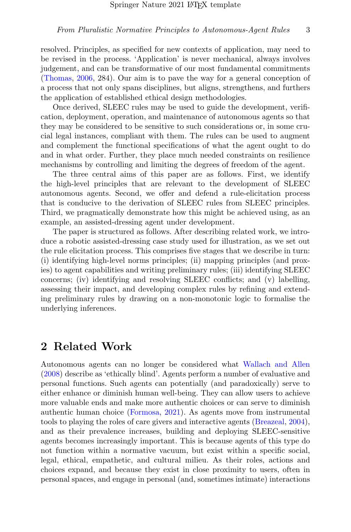resolved. Principles, as specified for new contexts of application, may need to be revised in the process. 'Application' is never mechanical, always involves judgement, and can be transformative of our most fundamental commitments [\(Thomas,](#page-29-4) [2006,](#page-29-4) 284). Our aim is to pave the way for a general conception of a process that not only spans disciplines, but aligns, strengthens, and furthers the application of established ethical design methodologies.

Once derived, SLEEC rules may be used to guide the development, verification, deployment, operation, and maintenance of autonomous agents so that they may be considered to be sensitive to such considerations or, in some crucial legal instances, compliant with them. The rules can be used to augment and complement the functional specifications of what the agent ought to do and in what order. Further, they place much needed constraints on resilience mechanisms by controlling and limiting the degrees of freedom of the agent.

The three central aims of this paper are as follows. First, we identify the high-level principles that are relevant to the development of SLEEC autonomous agents. Second, we offer and defend a rule-elicitation process that is conducive to the derivation of SLEEC rules from SLEEC principles. Third, we pragmatically demonstrate how this might be achieved using, as an example, an assisted-dressing agent under development.

The paper is structured as follows. After describing related work, we introduce a robotic assisted-dressing case study used for illustration, as we set out the rule elicitation process. This comprises five stages that we describe in turn: (i) identifying high-level norms principles; (ii) mapping principles (and proxies) to agent capabilities and writing preliminary rules; (iii) identifying SLEEC concerns; (iv) identifying and resolving SLEEC conflicts; and (v) labelling, assessing their impact, and developing complex rules by refining and extending preliminary rules by drawing on a non-monotonic logic to formalise the underlying inferences.

## 2 Related Work

Autonomous agents can no longer be considered what [Wallach and Allen](#page-29-5) [\(2008\)](#page-29-5) describe as 'ethically blind'. Agents perform a number of evaluative and personal functions. Such agents can potentially (and paradoxically) serve to either enhance or diminish human well-being. They can allow users to achieve more valuable ends and make more authentic choices or can serve to diminish authentic human choice [\(Formosa,](#page-26-3) [2021\)](#page-26-3). As agents move from instrumental tools to playing the roles of care givers and interactive agents [\(Breazeal,](#page-25-4) [2004\)](#page-25-4), and as their prevalence increases, building and deploying SLEEC-sensitive agents becomes increasingly important. This is because agents of this type do not function within a normative vacuum, but exist within a specific social, legal, ethical, empathetic, and cultural milieu. As their roles, actions and choices expand, and because they exist in close proximity to users, often in personal spaces, and engage in personal (and, sometimes intimate) interactions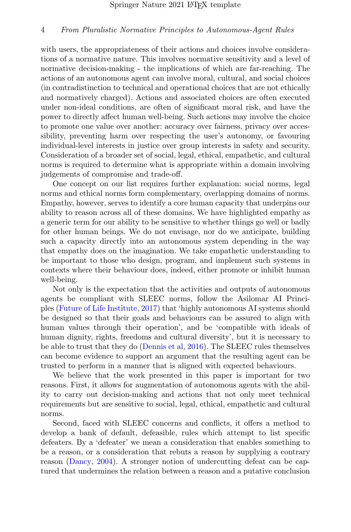with users, the appropriateness of their actions and choices involve considerations of a normative nature. This involves normative sensitivity and a level of normative decision-making - the implications of which are far-reaching. The actions of an autonomous agent can involve moral, cultural, and social choices (in contradistinction to technical and operational choices that are not ethically and normatively charged). Actions and associated choices are often executed under non-ideal conditions, are often of significant moral risk, and have the power to directly affect human well-being. Such actions may involve the choice to promote one value over another: accuracy over fairness, privacy over accessibility, preventing harm over respecting the user's autonomy, or favouring individual-level interests in justice over group interests in safety and security. Consideration of a broader set of social, legal, ethical, empathetic, and cultural norms is required to determine what is appropriate within a domain involving judgements of compromise and trade-off.

One concept on our list requires further explanation: social norms, legal norms and ethical norms form complementary, overlapping domains of norms. Empathy, however, serves to identify a core human capacity that underpins our ability to reason across all of these domains. We have highlighted empathy as a generic term for our ability to be sensitive to whether things go well or badly for other human beings. We do not envisage, nor do we anticipate, building such a capacity directly into an autonomous system depending in the way that empathy does on the imagination. We take empathetic understanding to be important to those who design, program, and implement such systems in contexts where their behaviour does, indeed, either promote or inhibit human well-being.

Not only is the expectation that the activities and outputs of autonomous agents be compliant with SLEEC norms, follow the Asilomar AI Principles [\(Future of Life Institute,](#page-26-4) [2017\)](#page-26-4) that 'highly autonomous AI systems should be designed so that their goals and behaviours can be assured to align with human values through their operation', and be 'compatible with ideals of human dignity, rights, freedoms and cultural diversity', but it is necessary to be able to trust that they do [\(Dennis et al,](#page-26-5) [2016\)](#page-26-5). The SLEEC rules themselves can become evidence to support an argument that the resulting agent can be trusted to perform in a manner that is aligned with expected behaviours.

We believe that the work presented in this paper is important for two reasons. First, it allows for augmentation of autonomous agents with the ability to carry out decision-making and actions that not only meet technical requirements but are sensitive to social, legal, ethical, empathetic and cultural norms.

Second, faced with SLEEC concerns and conflicts, it offers a method to develop a bank of default, defeasible, rules which attempt to list specific defeaters. By a 'defeater' we mean a consideration that enables something to be a reason, or a consideration that rebuts a reason by supplying a contrary reason [\(Dancy,](#page-26-6) [2004\)](#page-26-6). A stronger notion of undercutting defeat can be captured that undermines the relation between a reason and a putative conclusion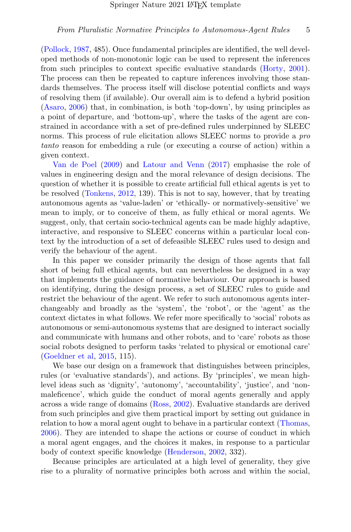[\(Pollock,](#page-28-3) [1987,](#page-28-3) 485). Once fundamental principles are identified, the well developed methods of non-monotonic logic can be used to represent the inferences from such principles to context specific evaluative standards [\(Horty,](#page-27-7) [2001\)](#page-27-7). The process can then be repeated to capture inferences involving those standards themselves. The process itself will disclose potential conflicts and ways of resolving them (if available). Our overall aim is to defend a hybrid position [\(Asaro,](#page-25-5) [2006\)](#page-25-5) that, in combination, is both 'top-down', by using principles as a point of departure, and 'bottom-up', where the tasks of the agent are constrained in accordance with a set of pre-defined rules underpinned by SLEEC norms. This process of rule elicitation allows SLEEC norms to provide a *pro* tanto reason for embedding a rule (or executing a course of action) within a given context.

[Van de Poel](#page-28-4) [\(2009\)](#page-28-4) and [Latour and Venn](#page-27-8) [\(2017\)](#page-27-8) emphasise the role of values in engineering design and the moral relevance of design decisions. The question of whether it is possible to create artificial full ethical agents is yet to be resolved [\(Tonkens,](#page-29-6) [2012,](#page-29-6) 139). This is not to say, however, that by treating autonomous agents as 'value-laden' or 'ethically- or normatively-sensitive' we mean to imply, or to conceive of them, as fully ethical or moral agents. We suggest, only, that certain socio-technical agents can be made highly adaptive, interactive, and responsive to SLEEC concerns within a particular local context by the introduction of a set of defeasible SLEEC rules used to design and verify the behaviour of the agent.

In this paper we consider primarily the design of those agents that fall short of being full ethical agents, but can nevertheless be designed in a way that implements the guidance of normative behaviour. Our approach is based on identifying, during the design process, a set of SLEEC rules to guide and restrict the behaviour of the agent. We refer to such autonomous agents interchangeably and broadly as the 'system', the 'robot', or the 'agent' as the context dictates in what follows. We refer more specifically to 'social' robots as autonomous or semi-autonomous systems that are designed to interact socially and communicate with humans and other robots, and to 'care' robots as those social robots designed to perform tasks 'related to physical or emotional care' [\(Goeldner et al,](#page-26-7) [2015,](#page-26-7) 115).

We base our design on a framework that distinguishes between principles, rules (or 'evaluative standards'), and actions. By 'principles', we mean highlevel ideas such as 'dignity', 'autonomy', 'accountability', 'justice', and 'nonmaleficence', which guide the conduct of moral agents generally and apply across a wide range of domains [\(Ross,](#page-28-5) [2002\)](#page-28-5). Evaluative standards are derived from such principles and give them practical import by setting out guidance in relation to how a moral agent ought to behave in a particular context [\(Thomas,](#page-29-4) [2006\)](#page-29-4). They are intended to shape the actions or course of conduct in which a moral agent engages, and the choices it makes, in response to a particular body of context specific knowledge [\(Henderson,](#page-27-9) [2002,](#page-27-9) 332).

Because principles are articulated at a high level of generality, they give rise to a plurality of normative principles both across and within the social,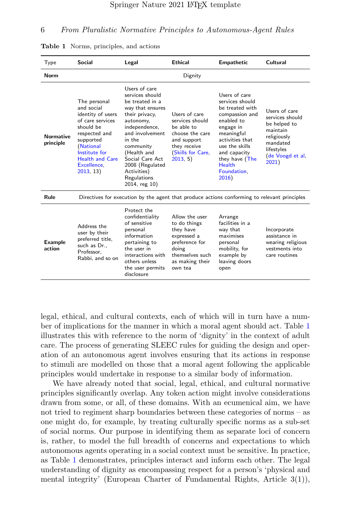| Type                          | Social                                                                                                                                                                                             | Legal                                                                                                                                                                                                                                                                 | <b>Fthical</b>                                                                                                                         | <b>Empathetic</b>                                                                                                                                                                                                              | Cultural                                                                                                                           |  |
|-------------------------------|----------------------------------------------------------------------------------------------------------------------------------------------------------------------------------------------------|-----------------------------------------------------------------------------------------------------------------------------------------------------------------------------------------------------------------------------------------------------------------------|----------------------------------------------------------------------------------------------------------------------------------------|--------------------------------------------------------------------------------------------------------------------------------------------------------------------------------------------------------------------------------|------------------------------------------------------------------------------------------------------------------------------------|--|
| Norm                          |                                                                                                                                                                                                    |                                                                                                                                                                                                                                                                       | Dignity                                                                                                                                |                                                                                                                                                                                                                                |                                                                                                                                    |  |
| <b>Normative</b><br>principle | The personal<br>and social<br>identity of users<br>of care services<br>should be<br>respected and<br>supported<br>(National<br>Institute for<br><b>Health and Care</b><br>Excellence.<br>2013, 13) | Users of care<br>services should<br>be treated in a<br>way that ensures<br>their privacy.<br>autonomy,<br>independence,<br>and involvement<br>in the<br>community<br>(Health and<br>Social Care Act<br>2008 (Regulated<br>Activities)<br>Regulations<br>2014, reg 10) | Users of care<br>services should<br>be able to<br>choose the care<br>and support<br>they receive<br>(Skills for Care,<br>2013, 5)      | Users of care<br>services should<br>be treated with<br>compassion and<br>enabled to<br>engage in<br>meaningful<br>activities that<br>use the skills<br>and capacity<br>they have (The<br><b>Health</b><br>Foundation.<br>2016) | Users of care<br>services should<br>be helped to<br>maintain<br>religiously<br>mandated<br>lifestyles<br>(de Voogd et al,<br>2021) |  |
| Rule                          |                                                                                                                                                                                                    | Directives for execution by the agent that produce actions conforming to relevant principles                                                                                                                                                                          |                                                                                                                                        |                                                                                                                                                                                                                                |                                                                                                                                    |  |
| <b>Example</b><br>action      | Address the<br>user by their<br>preferred title,<br>such as Dr<br>Professor.<br>Rabbi, and so on                                                                                                   | Protect the<br>confidentiality<br>of sensitive<br>personal<br>information<br>pertaining to<br>the user in<br>interactions with<br>others unless<br>the user permits<br>disclosure                                                                                     | Allow the user<br>to do things<br>they have<br>expressed a<br>preference for<br>doing<br>themselves such<br>as making their<br>own tea | Arrange<br>facilities in a<br>way that<br>maximises<br>personal<br>mobility, for<br>example by<br>leaving doors<br>open                                                                                                        | Incorporate<br>assistance in<br>wearing religious<br>vestments into<br>care routines                                               |  |

<span id="page-5-0"></span>Table 1 Norms, principles, and actions

legal, ethical, and cultural contexts, each of which will in turn have a number of implications for the manner in which a moral agent should act. Table [1](#page-5-0) illustrates this with reference to the norm of 'dignity' in the context of adult care. The process of generating SLEEC rules for guiding the design and operation of an autonomous agent involves ensuring that its actions in response to stimuli are modelled on those that a moral agent following the applicable principles would undertake in response to a similar body of information.

We have already noted that social, legal, ethical, and cultural normative principles significantly overlap. Any token action might involve considerations drawn from some, or all, of these domains. With an ecumenical aim, we have not tried to regiment sharp boundaries between these categories of norms – as one might do, for example, by treating culturally specific norms as a sub-set of social norms. Our purpose in identifying them as separate loci of concern is, rather, to model the full breadth of concerns and expectations to which autonomous agents operating in a social context must be sensitive. In practice, as Table [1](#page-5-0) demonstrates, principles interact and inform each other. The legal understanding of dignity as encompassing respect for a person's 'physical and mental integrity' (European Charter of Fundamental Rights, Article 3(1)),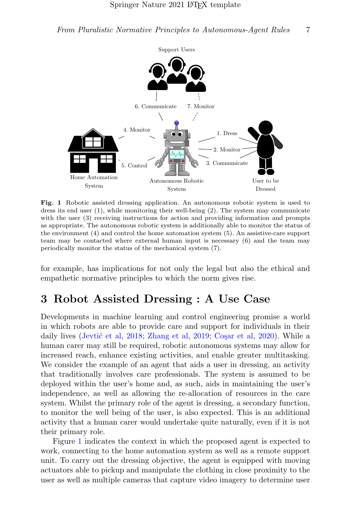

<span id="page-6-0"></span>Fig. 1 Robotic assisted dressing application. An autonomous robotic system is used to dress its end user (1), while monitoring their well-being (2). The system may communicate with the user  $(3)$  receiving instructions for action and providing information and prompts as appropriate. The autonomous robotic system is additionally able to monitor the status of the environment (4) and control the home automation system (5). An assistive-care support team may be contacted where external human input is necessary (6) and the team may periodically monitor the status of the mechanical system (7).

for example, has implications for not only the legal but also the ethical and empathetic normative principles to which the norm gives rise.

## <span id="page-6-1"></span>3 Robot Assisted Dressing : A Use Case

Developments in machine learning and control engineering promise a world in which robots are able to provide care and support for individuals in their daily lives (Jevtić et al, [2018;](#page-27-10) [Zhang et al,](#page-30-2) [2019;](#page-30-2) Coşar et al, [2020\)](#page-25-6). While a human carer may still be required, robotic autonomous systems may allow for increased reach, enhance existing activities, and enable greater multitasking. We consider the example of an agent that aids a user in dressing, an activity that traditionally involves care professionals. The system is assumed to be deployed within the user's home and, as such, aids in maintaining the user's independence, as well as allowing the re-allocation of resources in the care system. Whilst the primary role of the agent is dressing, a secondary function, to monitor the well being of the user, is also expected. This is an additional activity that a human carer would undertake quite naturally, even if it is not their primary role.

Figure [1](#page-6-0) indicates the context in which the proposed agent is expected to work, connecting to the home automation system as well as a remote support unit. To carry out the dressing objective, the agent is equipped with moving actuators able to pickup and manipulate the clothing in close proximity to the user as well as multiple cameras that capture video imagery to determine user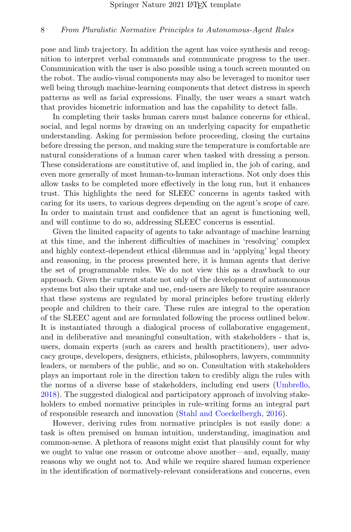pose and limb trajectory. In addition the agent has voice synthesis and recognition to interpret verbal commands and communicate progress to the user. Communication with the user is also possible using a touch screen mounted on the robot. The audio-visual components may also be leveraged to monitor user well being through machine-learning components that detect distress in speech patterns as well as facial expressions. Finally, the user wears a smart watch that provides biometric information and has the capability to detect falls.

In completing their tasks human carers must balance concerns for ethical, social, and legal norms by drawing on an underlying capacity for empathetic understanding. Asking for permission before proceeding, closing the curtains before dressing the person, and making sure the temperature is comfortable are natural considerations of a human carer when tasked with dressing a person. These considerations are constitutive of, and implied in, the job of caring, and even more generally of most human-to-human interactions. Not only does this allow tasks to be completed more effectively in the long run, but it enhances trust. This highlights the need for SLEEC concerns in agents tasked with caring for its users, to various degrees depending on the agent's scope of care. In order to maintain trust and confidence that an agent is functioning well, and will continue to do so, addressing SLEEC concerns is essential.

Given the limited capacity of agents to take advantage of machine learning at this time, and the inherent difficulties of machines in 'resolving' complex and highly context-dependent ethical dilemmas and in 'applying' legal theory and reasoning, in the process presented here, it is human agents that derive the set of programmable rules. We do not view this as a drawback to our approach. Given the current state not only of the development of autonomous systems but also their uptake and use, end-users are likely to require assurance that these systems are regulated by moral principles before trusting elderly people and children to their care. These rules are integral to the operation of the SLEEC agent and are formulated following the process outlined below. It is instantiated through a dialogical process of collaborative engagement, and in deliberative and meaningful consultation, with stakeholders - that is, users, domain experts (such as carers and health practitioners), user advocacy groups, developers, designers, ethicists, philosophers, lawyers, community leaders, or members of the public, and so on. Consultation with stakeholders plays an important role in the direction taken to credibly align the rules with the norms of a diverse base of stakeholders, including end users [\(Umbrello,](#page-29-9) [2018\)](#page-29-9). The suggested dialogical and participatory approach of involving stakeholders to embed normative principles in rule-writing forms an integral part of responsible research and innovation [\(Stahl and Coeckelbergh,](#page-29-1) [2016\)](#page-29-1).

However, deriving rules from normative principles is not easily done: a task is often premised on human intuition, understanding, imagination and common-sense. A plethora of reasons might exist that plausibly count for why we ought to value one reason or outcome above another—and, equally, many reasons why we ought not to. And while we require shared human experience in the identification of normatively-relevant considerations and concerns, even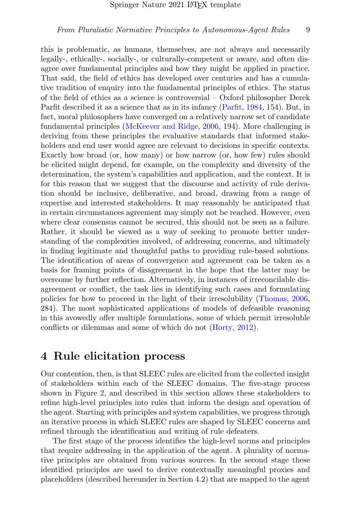this is problematic, as humans, themselves, are not always and necessarily legally-, ethically-, socially-, or culturally-competent or aware, and often disagree over fundamental principles and how they might be applied in practice. That said, the field of ethics has developed over centuries and has a cumulative tradition of enquiry into the fundamental principles of ethics. The status of the field of ethics as a science is controversial – Oxford philosopher Derek Parfit described it as a science that as in its infancy [\(Parfit,](#page-28-8) [1984,](#page-28-8) 154). But, in fact, moral philosophers have converged on a relatively narrow set of candidate fundamental principles [\(McKeever and Ridge,](#page-27-0) [2006,](#page-27-0) 194). More challenging is deriving from these principles the evaluative standards that informed stakeholders and end user would agree are relevant to decisions in specific contexts. Exactly how broad (or, how many) or how narrow (or, how few) rules should be elicited might depend, for example, on the complexity and diversity of the determination, the system's capabilities and application, and the context. It is for this reason that we suggest that the discourse and activity of rule derivation should be inclusive, deliberative, and broad, drawing from a range of expertise and interested stakeholders. It may reasonably be anticipated that in certain circumstances agreement may simply not be reached. However, even where clear consensus cannot be secured, this should not be seen as a failure. Rather, it should be viewed as a way of seeking to promote better understanding of the complexities involved, of addressing concerns, and ultimately in finding legitimate and thoughtful paths to providing rule-based solutions. The identification of areas of convergence and agreement can be taken as a basis for framing points of disagreement in the hope that the latter may be overcome by further reflection. Alternatively, in instances of irreconcilable disagreement or conflict, the task lies in identifying such cases and formulating policies for how to proceed in the light of their irresolubility [\(Thomas,](#page-29-4) [2006,](#page-29-4) 284). The most sophisticated applications of models of defeasible reasoning in this avowedly offer multiple formulations, some of which permit irresoluble conflicts or dilemmas and some of which do not [\(Horty,](#page-27-4) [2012\)](#page-27-4).

## 4 Rule elicitation process

Our contention, then, is that SLEEC rules are elicited from the collected insight of stakeholders within each of the SLEEC domains. The five-stage process shown in Figure [2,](#page-9-0) and described in this section allows these stakeholders to refine high-level principles into rules that inform the design and operation of the agent. Starting with principles and system capabilities, we progress through an iterative process in which SLEEC rules are shaped by SLEEC concerns and refined through the identification and writing of rule defeaters.

The first stage of the process identifies the high-level norms and principles that require addressing in the application of the agent. A plurality of normative principles are obtained from various sources. In the second stage these identified principles are used to derive contextually meaningful proxies and placeholders (described hereunder in Section 4.2) that are mapped to the agent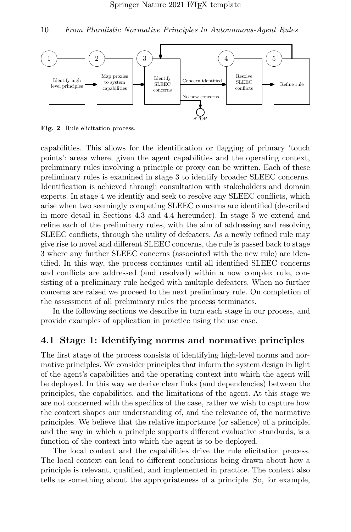

<span id="page-9-0"></span>Fig. 2 Rule elicitation process.

capabilities. This allows for the identification or flagging of primary 'touch points': areas where, given the agent capabilities and the operating context, preliminary rules involving a principle or proxy can be written. Each of these preliminary rules is examined in stage 3 to identify broader SLEEC concerns. Identification is achieved through consultation with stakeholders and domain experts. In stage 4 we identify and seek to resolve any SLEEC conflicts, which arise when two seemingly competing SLEEC concerns are identified (described in more detail in Sections 4.3 and 4.4 hereunder). In stage 5 we extend and refine each of the preliminary rules, with the aim of addressing and resolving SLEEC conflicts, through the utility of defeaters. As a newly refined rule may give rise to novel and different SLEEC concerns, the rule is passed back to stage 3 where any further SLEEC concerns (associated with the new rule) are identified. In this way, the process continues until all identified SLEEC concerns and conflicts are addressed (and resolved) within a now complex rule, consisting of a preliminary rule hedged with multiple defeaters. When no further concerns are raised we proceed to the next preliminary rule. On completion of the assessment of all preliminary rules the process terminates.

In the following sections we describe in turn each stage in our process, and provide examples of application in practice using the use case.

### 4.1 Stage 1: Identifying norms and normative principles

The first stage of the process consists of identifying high-level norms and normative principles. We consider principles that inform the system design in light of the agent's capabilities and the operating context into which the agent will be deployed. In this way we derive clear links (and dependencies) between the principles, the capabilities, and the limitations of the agent. At this stage we are not concerned with the specifics of the case, rather we wish to capture how the context shapes our understanding of, and the relevance of, the normative principles. We believe that the relative importance (or salience) of a principle, and the way in which a principle supports different evaluative standards, is a function of the context into which the agent is to be deployed.

The local context and the capabilities drive the rule elicitation process. The local context can lead to different conclusions being drawn about how a principle is relevant, qualified, and implemented in practice. The context also tells us something about the appropriateness of a principle. So, for example,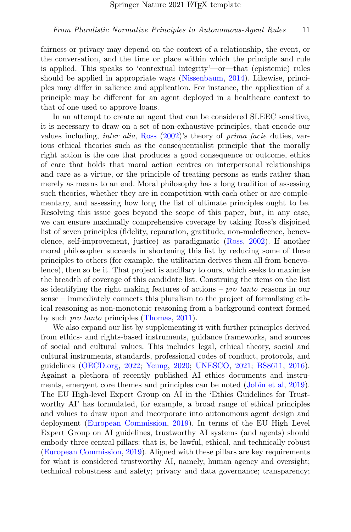fairness or privacy may depend on the context of a relationship, the event, or the conversation, and the time or place within which the principle and rule is applied. This speaks to 'contextual integrity'—or—that (epistemic) rules should be applied in appropriate ways [\(Nissenbaum,](#page-28-9) [2014\)](#page-28-9). Likewise, principles may differ in salience and application. For instance, the application of a principle may be different for an agent deployed in a healthcare context to that of one used to approve loans.

In an attempt to create an agent that can be considered SLEEC sensitive, it is necessary to draw on a set of non-exhaustive principles, that encode our values including, inter alia, [Ross](#page-28-5) [\(2002\)](#page-28-5)'s theory of prima facie duties, various ethical theories such as the consequentialist principle that the morally right action is the one that produces a good consequence or outcome, ethics of care that holds that moral action centres on interpersonal relationships and care as a virtue, or the principle of treating persons as ends rather than merely as means to an end. Moral philosophy has a long tradition of assessing such theories, whether they are in competition with each other or are complementary, and assessing how long the list of ultimate principles ought to be. Resolving this issue goes beyond the scope of this paper, but, in any case, we can ensure maximally comprehensive coverage by taking Ross's disjoined list of seven principles (fidelity, reparation, gratitude, non-maleficence, benevolence, self-improvement, justice) as paradigmatic [\(Ross,](#page-28-5) [2002\)](#page-28-5). If another moral philosopher succeeds in shortening this list by reducing some of these principles to others (for example, the utilitarian derives them all from benevolence), then so be it. That project is ancillary to ours, which seeks to maximise the breadth of coverage of this candidate list. Construing the items on the list as identifying the right making features of actions – *pro tanto* reasons in our sense – immediately connects this pluralism to the project of formalising ethical reasoning as non-monotonic reasoning from a background context formed by such pro tanto principles [\(Thomas,](#page-29-0) [2011\)](#page-29-0).

We also expand our list by supplementing it with further principles derived from ethics- and rights-based instruments, guidance frameworks, and sources of social and cultural values. This includes legal, ethical theory, social and cultural instruments, standards, professional codes of conduct, protocols, and guidelines [\(OECD.org,](#page-28-10) [2022;](#page-28-10) [Yeung,](#page-30-3) [2020;](#page-30-3) [UNESCO,](#page-29-10) [2021;](#page-29-10) [BS8611,](#page-25-7) [2016\)](#page-25-7). Against a plethora of recently published AI ethics documents and instruments, emergent core themes and principles can be noted [\(Jobin et al,](#page-27-11) [2019\)](#page-27-11). The EU High-level Expert Group on AI in the 'Ethics Guidelines for Trustworthy AI' has formulated, for example, a broad range of ethical principles and values to draw upon and incorporate into autonomous agent design and deployment [\(European Commission,](#page-26-8) [2019\)](#page-26-8). In terms of the EU High Level Expert Group on AI guidelines, trustworthy AI systems (and agents) should embody three central pillars: that is, be lawful, ethical, and technically robust [\(European Commission,](#page-26-8) [2019\)](#page-26-8). Aligned with these pillars are key requirements for what is considered trustworthy AI, namely, human agency and oversight; technical robustness and safety; privacy and data governance; transparency;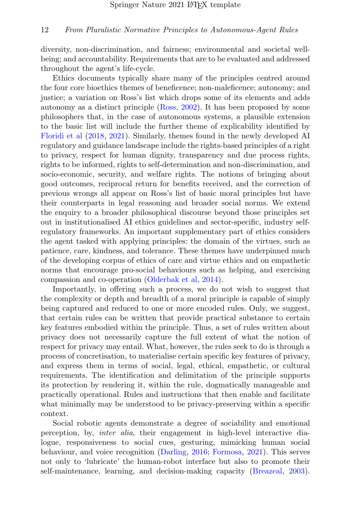diversity, non-discrimination, and fairness; environmental and societal wellbeing; and accountability. Requirements that are to be evaluated and addressed throughout the agent's life-cycle.

Ethics documents typically share many of the principles centred around the four core bioethics themes of beneficence; non-maleficence; autonomy; and justice; a variation on Ross's list which drops some of its elements and adds autonomy as a distinct principle [\(Ross,](#page-28-5) [2002\)](#page-28-5). It has been proposed by some philosophers that, in the case of autonomous systems, a plausible extension to the basic list will include the further theme of explicability identified by [Floridi et al](#page-26-9) [\(2018,](#page-26-9) [2021\)](#page-26-10). Similarly, themes found in the newly developed AI regulatory and guidance landscape include the rights-based principles of a right to privacy, respect for human dignity, transparency and due process rights, rights to be informed, rights to self-determination and non-discrimination, and socio-economic, security, and welfare rights. The notions of bringing about good outcomes, reciprocal return for benefits received, and the correction of previous wrongs all appear on Ross's list of basic moral principles but have their counterparts in legal reasoning and broader social norms. We extend the enquiry to a broader philosophical discourse beyond those principles set out in institutionalised AI ethics guidelines and sector-specific, industry selfregulatory frameworks. An important supplementary part of ethics considers the agent tasked with applying principles: the domain of the virtues, such as patience, care, kindness, and tolerance. These themes have underpinned much of the developing corpus of ethics of care and virtue ethics and on empathetic norms that encourage pro-social behaviours such as helping, and exercising compassion and co-operation [\(Olderbak et al,](#page-28-11) [2014\)](#page-28-11).

Importantly, in offering such a process, we do not wish to suggest that the complexity or depth and breadth of a moral principle is capable of simply being captured and reduced to one or more encoded rules. Only, we suggest, that certain rules can be written that provide practical substance to certain key features embodied within the principle. Thus, a set of rules written about privacy does not necessarily capture the full extent of what the notion of respect for privacy may entail. What, however, the rules seek to do is through a process of concretisation, to materialise certain specific key features of privacy, and express them in terms of social, legal, ethical, empathetic, or cultural requirements. The identification and delimitation of the principle supports its protection by rendering it, within the rule, dogmatically manageable and practically operational. Rules and instructions that then enable and facilitate what minimally may be understood to be privacy-preserving within a specific context.

Social robotic agents demonstrate a degree of sociability and emotional perception, by, inter alia, their engagement in high-level interactive dialogue, responsiveness to social cues, gesturing, mimicking human social behaviour, and voice recognition [\(Darling,](#page-26-11) [2016;](#page-26-11) [Formosa,](#page-26-3) [2021\)](#page-26-3). This serves not only to 'lubricate' the human-robot interface but also to promote their self-maintenance, learning, and decision-making capacity [\(Breazeal,](#page-25-8) [2003\)](#page-25-8).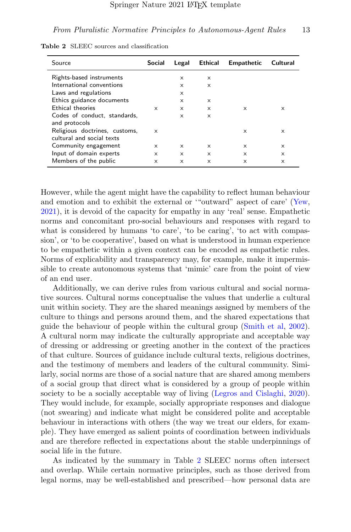<span id="page-12-0"></span>

| Source                        | Social   | Legal    | <b>Ethical</b> | <b>Empathetic</b> | Cultural |
|-------------------------------|----------|----------|----------------|-------------------|----------|
| Rights-based instruments      |          | x        | X              |                   |          |
| International conventions     |          | $\times$ | $\times$       |                   |          |
| Laws and regulations          |          | X        |                |                   |          |
| Ethics guidance documents     |          | $\times$ | $\times$       |                   |          |
| Ethical theories              | $\times$ | $\times$ | X              | $\times$          | $\times$ |
| Codes of conduct, standards,  |          | $\times$ | x              |                   |          |
| and protocols                 |          |          |                |                   |          |
| Religious doctrines, customs, | $\times$ |          |                | $\times$          | $\times$ |
| cultural and social texts     |          |          |                |                   |          |
| Community engagement          | $\times$ | $\times$ | $\times$       | $\times$          | $\times$ |
| Input of domain experts       | $\times$ | $\times$ | X              | $\times$          | $\times$ |
| Members of the public         | $\times$ | $\times$ | X              | X                 | X        |

Table 2 SLEEC sources and classification

However, while the agent might have the capability to reflect human behaviour and emotion and to exhibit the external or '"outward" aspect of care' [\(Yew,](#page-30-1) [2021\)](#page-30-1), it is devoid of the capacity for empathy in any 'real' sense. Empathetic norms and concomitant pro-social behaviours and responses with regard to what is considered by humans 'to care', 'to be caring', 'to act with compassion', or 'to be cooperative', based on what is understood in human experience to be empathetic within a given context can be encoded as empathetic rules. Norms of explicability and transparency may, for example, make it impermissible to create autonomous systems that 'mimic' care from the point of view of an end user.

Additionally, we can derive rules from various cultural and social normative sources. Cultural norms conceptualise the values that underlie a cultural unit within society. They are the shared meanings assigned by members of the culture to things and persons around them, and the shared expectations that guide the behaviour of people within the cultural group [\(Smith et al,](#page-28-12) [2002\)](#page-28-12). A cultural norm may indicate the culturally appropriate and acceptable way of dressing or addressing or greeting another in the context of the practices of that culture. Sources of guidance include cultural texts, religious doctrines, and the testimony of members and leaders of the cultural community. Similarly, social norms are those of a social nature that are shared among members of a social group that direct what is considered by a group of people within society to be a socially acceptable way of living [\(Legros and Cislaghi,](#page-27-12) [2020\)](#page-27-12). They would include, for example, socially appropriate responses and dialogue (not swearing) and indicate what might be considered polite and acceptable behaviour in interactions with others (the way we treat our elders, for example). They have emerged as salient points of coordination between individuals and are therefore reflected in expectations about the stable underpinnings of social life in the future.

As indicated by the summary in Table [2](#page-12-0) SLEEC norms often intersect and overlap. While certain normative principles, such as those derived from legal norms, may be well-established and prescribed—how personal data are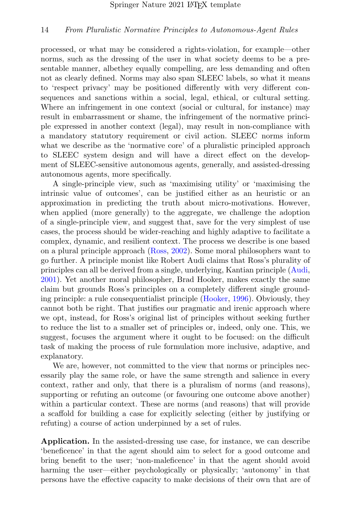processed, or what may be considered a rights-violation, for example—other norms, such as the dressing of the user in what society deems to be a presentable manner, albethey equally compelling, are less demanding and often not as clearly defined. Norms may also span SLEEC labels, so what it means to 'respect privacy' may be positioned differently with very different consequences and sanctions within a social, legal, ethical, or cultural setting. Where an infringement in one context (social or cultural, for instance) may result in embarrassment or shame, the infringement of the normative principle expressed in another context (legal), may result in non-compliance with a mandatory statutory requirement or civil action. SLEEC norms inform what we describe as the 'normative core' of a pluralistic principled approach to SLEEC system design and will have a direct effect on the development of SLEEC-sensitive autonomous agents, generally, and assisted-dressing autonomous agents, more specifically.

A single-principle view, such as 'maximising utility' or 'maximising the intrinsic value of outcomes', can be justified either as an heuristic or an approximation in predicting the truth about micro-motivations. However, when applied (more generally) to the aggregate, we challenge the adoption of a single-principle view, and suggest that, save for the very simplest of use cases, the process should be wider-reaching and highly adaptive to facilitate a complex, dynamic, and resilient context. The process we describe is one based on a plural principle approach [\(Ross,](#page-28-5) [2002\)](#page-28-5). Some moral philosophers want to go further. A principle monist like Robert Audi claims that Ross's plurality of principles can all be derived from a single, underlying, Kantian principle [\(Audi,](#page-25-9) [2001\)](#page-25-9). Yet another moral philosopher, Brad Hooker, makes exactly the same claim but grounds Ross's principles on a completely different single grounding principle: a rule consequentialist principle [\(Hooker,](#page-27-13) [1996\)](#page-27-13). Obviously, they cannot both be right. That justifies our pragmatic and irenic approach where we opt, instead, for Ross's original list of principles without seeking further to reduce the list to a smaller set of principles or, indeed, only one. This, we suggest, focuses the argument where it ought to be focused: on the difficult task of making the process of rule formulation more inclusive, adaptive, and explanatory.

We are, however, not committed to the view that norms or principles necessarily play the same role, or have the same strength and salience in every context, rather and only, that there is a pluralism of norms (and reasons), supporting or refuting an outcome (or favouring one outcome above another) within a particular context. These are norms (and reasons) that will provide a scaffold for building a case for explicitly selecting (either by justifying or refuting) a course of action underpinned by a set of rules.

Application. In the assisted-dressing use case, for instance, we can describe 'beneficence' in that the agent should aim to select for a good outcome and bring benefit to the user; 'non-maleficence' in that the agent should avoid harming the user—either psychologically or physically; 'autonomy' in that persons have the effective capacity to make decisions of their own that are of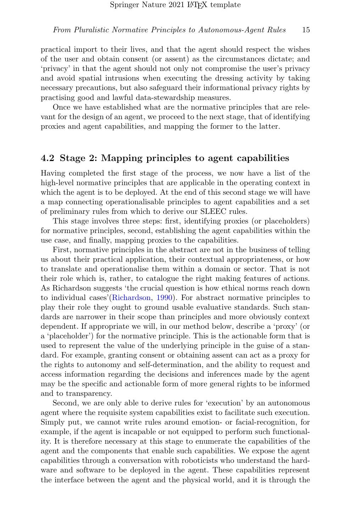practical import to their lives, and that the agent should respect the wishes of the user and obtain consent (or assent) as the circumstances dictate; and 'privacy' in that the agent should not only not compromise the user's privacy and avoid spatial intrusions when executing the dressing activity by taking necessary precautions, but also safeguard their informational privacy rights by practising good and lawful data-stewardship measures.

Once we have established what are the normative principles that are relevant for the design of an agent, we proceed to the next stage, that of identifying proxies and agent capabilities, and mapping the former to the latter.

### 4.2 Stage 2: Mapping principles to agent capabilities

Having completed the first stage of the process, we now have a list of the high-level normative principles that are applicable in the operating context in which the agent is to be deployed. At the end of this second stage we will have a map connecting operationalisable principles to agent capabilities and a set of preliminary rules from which to derive our SLEEC rules.

This stage involves three steps: first, identifying proxies (or placeholders) for normative principles, second, establishing the agent capabilities within the use case, and finally, mapping proxies to the capabilities.

First, normative principles in the abstract are not in the business of telling us about their practical application, their contextual appropriateness, or how to translate and operationalise them within a domain or sector. That is not their role which is, rather, to catalogue the right making features of actions. As Richardson suggests 'the crucial question is how ethical norms reach down to individual cases'[\(Richardson,](#page-28-13) [1990\)](#page-28-13). For abstract normative principles to play their role they ought to ground usable evaluative standards. Such standards are narrower in their scope than principles and more obviously context dependent. If appropriate we will, in our method below, describe a 'proxy' (or a 'placeholder') for the normative principle. This is the actionable form that is used to represent the value of the underlying principle in the guise of a standard. For example, granting consent or obtaining assent can act as a proxy for the rights to autonomy and self-determination, and the ability to request and access information regarding the decisions and inferences made by the agent may be the specific and actionable form of more general rights to be informed and to transparency.

Second, we are only able to derive rules for 'execution' by an autonomous agent where the requisite system capabilities exist to facilitate such execution. Simply put, we cannot write rules around emotion- or facial-recognition, for example, if the agent is incapable or not equipped to perform such functionality. It is therefore necessary at this stage to enumerate the capabilities of the agent and the components that enable such capabilities. We expose the agent capabilities through a conversation with roboticists who understand the hardware and software to be deployed in the agent. These capabilities represent the interface between the agent and the physical world, and it is through the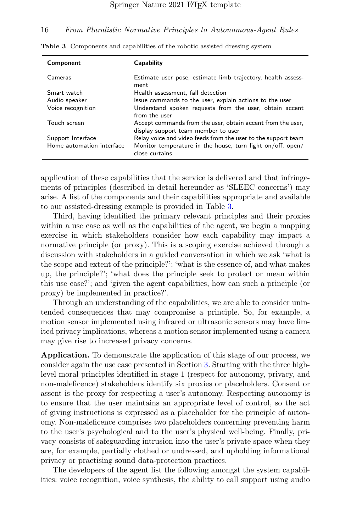| Component                 | Capability                                                                                         |
|---------------------------|----------------------------------------------------------------------------------------------------|
| Cameras                   | Estimate user pose, estimate limb trajectory, health assess-<br>ment                               |
| Smart watch               | Health assessment, fall detection                                                                  |
| Audio speaker             | Issue commands to the user, explain actions to the user                                            |
| Voice recognition         | Understand spoken requests from the user, obtain accent<br>from the user                           |
| Touch screen              | Accept commands from the user, obtain accent from the user,<br>display support team member to user |
| Support Interface         | Relay voice and video feeds from the user to the support team                                      |
| Home automation interface | Monitor temperature in the house, turn light on/off, open/<br>close curtains                       |

<span id="page-15-0"></span>Table 3 Components and capabilities of the robotic assisted dressing system

application of these capabilities that the service is delivered and that infringements of principles (described in detail hereunder as 'SLEEC concerns') may arise. A list of the components and their capabilities appropriate and available to our assisted-dressing example is provided in Table [3.](#page-15-0)

Third, having identified the primary relevant principles and their proxies within a use case as well as the capabilities of the agent, we begin a mapping exercise in which stakeholders consider how each capability may impact a normative principle (or proxy). This is a scoping exercise achieved through a discussion with stakeholders in a guided conversation in which we ask 'what is the scope and extent of the principle?'; 'what is the essence of, and what makes up, the principle?'; 'what does the principle seek to protect or mean within this use case?'; and 'given the agent capabilities, how can such a principle (or proxy) be implemented in practice?'.

Through an understanding of the capabilities, we are able to consider unintended consequences that may compromise a principle. So, for example, a motion sensor implemented using infrared or ultrasonic sensors may have limited privacy implications, whereas a motion sensor implemented using a camera may give rise to increased privacy concerns.

Application. To demonstrate the application of this stage of our process, we consider again the use case presented in Section [3.](#page-6-1) Starting with the three highlevel moral principles identified in stage 1 (respect for autonomy, privacy, and non-maleficence) stakeholders identify six proxies or placeholders. Consent or assent is the proxy for respecting a user's autonomy. Respecting autonomy is to ensure that the user maintains an appropriate level of control, so the act of giving instructions is expressed as a placeholder for the principle of autonomy. Non-maleficence comprises two placeholders concerning preventing harm to the user's psychological and to the user's physical well-being. Finally, privacy consists of safeguarding intrusion into the user's private space when they are, for example, partially clothed or undressed, and upholding informational privacy or practising sound data-protection practices.

The developers of the agent list the following amongst the system capabilities: voice recognition, voice synthesis, the ability to call support using audio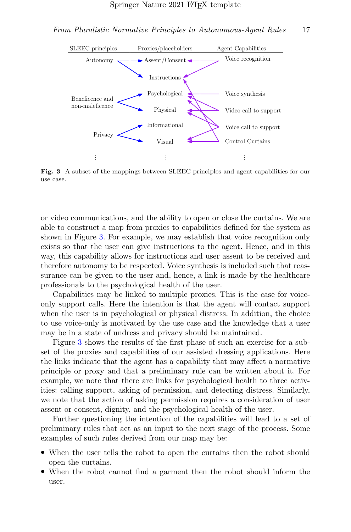

<span id="page-16-0"></span>Fig. 3 A subset of the mappings between SLEEC principles and agent capabilities for our use case.

or video communications, and the ability to open or close the curtains. We are able to construct a map from proxies to capabilities defined for the system as shown in Figure [3.](#page-16-0) For example, we may establish that voice recognition only exists so that the user can give instructions to the agent. Hence, and in this way, this capability allows for instructions and user assent to be received and therefore autonomy to be respected. Voice synthesis is included such that reassurance can be given to the user and, hence, a link is made by the healthcare professionals to the psychological health of the user.

Capabilities may be linked to multiple proxies. This is the case for voiceonly support calls. Here the intention is that the agent will contact support when the user is in psychological or physical distress. In addition, the choice to use voice-only is motivated by the use case and the knowledge that a user may be in a state of undress and privacy should be maintained.

Figure [3](#page-16-0) shows the results of the first phase of such an exercise for a subset of the proxies and capabilities of our assisted dressing applications. Here the links indicate that the agent has a capability that may affect a normative principle or proxy and that a preliminary rule can be written about it. For example, we note that there are links for psychological health to three activities: calling support, asking of permission, and detecting distress. Similarly, we note that the action of asking permission requires a consideration of user assent or consent, dignity, and the psychological health of the user.

Further questioning the intention of the capabilities will lead to a set of preliminary rules that act as an input to the next stage of the process. Some examples of such rules derived from our map may be:

- When the user tells the robot to open the curtains then the robot should open the curtains.
- When the robot cannot find a garment then the robot should inform the user.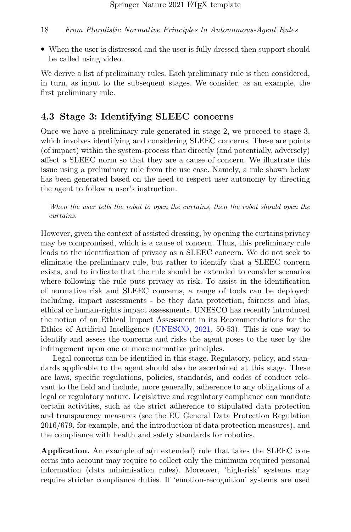• When the user is distressed and the user is fully dressed then support should be called using video.

We derive a list of preliminary rules. Each preliminary rule is then considered, in turn, as input to the subsequent stages. We consider, as an example, the first preliminary rule.

### 4.3 Stage 3: Identifying SLEEC concerns

Once we have a preliminary rule generated in stage 2, we proceed to stage 3, which involves identifying and considering SLEEC concerns. These are points (of impact) within the system-process that directly (and potentially, adversely) affect a SLEEC norm so that they are a cause of concern. We illustrate this issue using a preliminary rule from the use case. Namely, a rule shown below has been generated based on the need to respect user autonomy by directing the agent to follow a user's instruction.

When the user tells the robot to open the curtains, then the robot should open the curtains.

However, given the context of assisted dressing, by opening the curtains privacy may be compromised, which is a cause of concern. Thus, this preliminary rule leads to the identification of privacy as a SLEEC concern. We do not seek to eliminate the preliminary rule, but rather to identify that a SLEEC concern exists, and to indicate that the rule should be extended to consider scenarios where following the rule puts privacy at risk. To assist in the identification of normative risk and SLEEC concerns, a range of tools can be deployed: including, impact assessments - be they data protection, fairness and bias, ethical or human-rights impact assessments. UNESCO has recently introduced the notion of an Ethical Impact Assessment in its Recommendations for the Ethics of Artificial Intelligence [\(UNESCO,](#page-29-10) [2021,](#page-29-10) 50-53). This is one way to identify and assess the concerns and risks the agent poses to the user by the infringement upon one or more normative principles.

Legal concerns can be identified in this stage. Regulatory, policy, and standards applicable to the agent should also be ascertained at this stage. These are laws, specific regulations, policies, standards, and codes of conduct relevant to the field and include, more generally, adherence to any obligations of a legal or regulatory nature. Legislative and regulatory compliance can mandate certain activities, such as the strict adherence to stipulated data protection and transparency measures (see the EU General Data Protection Regulation 2016/679, for example, and the introduction of data protection measures), and the compliance with health and safety standards for robotics.

Application. An example of a(n extended) rule that takes the SLEEC concerns into account may require to collect only the minimum required personal information (data minimisation rules). Moreover, 'high-risk' systems may require stricter compliance duties. If 'emotion-recognition' systems are used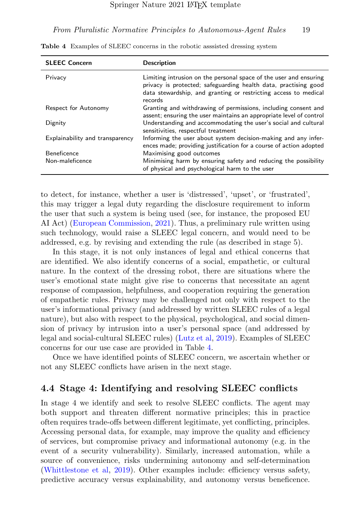| <b>SLEEC Concern</b>            | <b>Description</b>                                                                                                                                                                                                 |
|---------------------------------|--------------------------------------------------------------------------------------------------------------------------------------------------------------------------------------------------------------------|
| Privacy                         | Limiting intrusion on the personal space of the user and ensuring<br>privacy is protected; safeguarding health data, practising good<br>data stewardship, and granting or restricting access to medical<br>records |
| Respect for Autonomy            | Granting and withdrawing of permissions, including consent and<br>assent; ensuring the user maintains an appropriate level of control                                                                              |
| Dignity                         | Understanding and accommodating the user's social and cultural<br>sensitivities, respectful treatment                                                                                                              |
| Explainability and transparency | Informing the user about system decision-making and any infer-<br>ences made; providing justification for a course of action adopted                                                                               |
| <b>Beneficence</b>              | Maximising good outcomes                                                                                                                                                                                           |
| Non-maleficence                 | Minimising harm by ensuring safety and reducing the possibility<br>of physical and psychological harm to the user                                                                                                  |

<span id="page-18-0"></span>Table 4 Examples of SLEEC concerns in the robotic asssisted dressing system

to detect, for instance, whether a user is 'distressed', 'upset', or 'frustrated', this may trigger a legal duty regarding the disclosure requirement to inform the user that such a system is being used (see, for instance, the proposed EU AI Act) [\(European Commission,](#page-26-12) [2021\)](#page-26-12). Thus, a preliminary rule written using such technology, would raise a SLEEC legal concern, and would need to be addressed, e.g. by revising and extending the rule (as described in stage 5).

In this stage, it is not only instances of legal and ethical concerns that are identified. We also identify concerns of a social, empathetic, or cultural nature. In the context of the dressing robot, there are situations where the user's emotional state might give rise to concerns that necessitate an agent response of compassion, helpfulness, and cooperation requiring the generation of empathetic rules. Privacy may be challenged not only with respect to the user's informational privacy (and addressed by written SLEEC rules of a legal nature), but also with respect to the physical, psychological, and social dimension of privacy by intrusion into a user's personal space (and addressed by legal and social-cultural SLEEC rules) [\(Lutz et al,](#page-27-14) [2019\)](#page-27-14). Examples of SLEEC concerns for our use case are provided in Table [4.](#page-18-0)

Once we have identified points of SLEEC concern, we ascertain whether or not any SLEEC conflicts have arisen in the next stage.

### 4.4 Stage 4: Identifying and resolving SLEEC conflicts

In stage 4 we identify and seek to resolve SLEEC conflicts. The agent may both support and threaten different normative principles; this in practice often requires trade-offs between different legitimate, yet conflicting, principles. Accessing personal data, for example, may improve the quality and efficiency of services, but compromise privacy and informational autonomy (e.g. in the event of a security vulnerability). Similarly, increased automation, while a source of convenience, risks undermining autonomy and self-determination [\(Whittlestone et al,](#page-29-11) [2019\)](#page-29-11). Other examples include: efficiency versus safety, predictive accuracy versus explainability, and autonomy versus beneficence.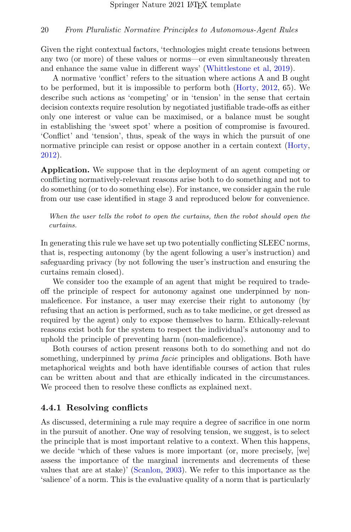Given the right contextual factors, 'technologies might create tensions between any two (or more) of these values or norms—or even simultaneously threaten and enhance the same value in different ways' [\(Whittlestone et al,](#page-29-11) [2019\)](#page-29-11).

A normative 'conflict' refers to the situation where actions A and B ought to be performed, but it is impossible to perform both [\(Horty,](#page-27-4) [2012,](#page-27-4) 65). We describe such actions as 'competing' or in 'tension' in the sense that certain decision contexts require resolution by negotiated justifiable trade-offs as either only one interest or value can be maximised, or a balance must be sought in establishing the 'sweet spot' where a position of compromise is favoured. 'Conflict' and 'tension', thus, speak of the ways in which the pursuit of one normative principle can resist or oppose another in a certain context [\(Horty,](#page-27-4) [2012\)](#page-27-4).

Application. We suppose that in the deployment of an agent competing or conflicting normatively-relevant reasons arise both to do something and not to do something (or to do something else). For instance, we consider again the rule from our use case identified in stage 3 and reproduced below for convenience.

When the user tells the robot to open the curtains, then the robot should open the curtains.

In generating this rule we have set up two potentially conflicting SLEEC norms, that is, respecting autonomy (by the agent following a user's instruction) and safeguarding privacy (by not following the user's instruction and ensuring the curtains remain closed).

We consider too the example of an agent that might be required to tradeoff the principle of respect for autonomy against one underpinned by nonmaleficence. For instance, a user may exercise their right to autonomy (by refusing that an action is performed, such as to take medicine, or get dressed as required by the agent) only to expose themselves to harm. Ethically-relevant reasons exist both for the system to respect the individual's autonomy and to uphold the principle of preventing harm (non-maleficence).

Both courses of action present reasons both to do something and not do something, underpinned by *prima facie* principles and obligations. Both have metaphorical weights and both have identifiable courses of action that rules can be written about and that are ethically indicated in the circumstances. We proceed then to resolve these conflicts as explained next.

### 4.4.1 Resolving conflicts

As discussed, determining a rule may require a degree of sacrifice in one norm in the pursuit of another. One way of resolving tension, we suggest, is to select the principle that is most important relative to a context. When this happens, we decide 'which of these values is more important (or, more precisely, [we] assess the importance of the marginal increments and decrements of these values that are at stake)' [\(Scanlon,](#page-28-14) [2003\)](#page-28-14). We refer to this importance as the 'salience' of a norm. This is the evaluative quality of a norm that is particularly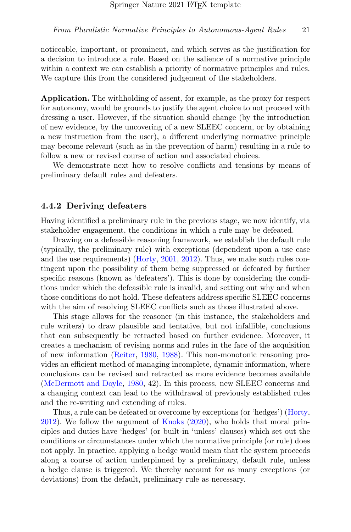noticeable, important, or prominent, and which serves as the justification for a decision to introduce a rule. Based on the salience of a normative principle within a context we can establish a priority of normative principles and rules. We capture this from the considered judgement of the stakeholders.

Application. The withholding of assent, for example, as the proxy for respect for autonomy, would be grounds to justify the agent choice to not proceed with dressing a user. However, if the situation should change (by the introduction of new evidence, by the uncovering of a new SLEEC concern, or by obtaining a new instruction from the user), a different underlying normative principle may become relevant (such as in the prevention of harm) resulting in a rule to follow a new or revised course of action and associated choices.

We demonstrate next how to resolve conflicts and tensions by means of preliminary default rules and defeaters.

### 4.4.2 Deriving defeaters

Having identified a preliminary rule in the previous stage, we now identify, via stakeholder engagement, the conditions in which a rule may be defeated.

Drawing on a defeasible reasoning framework, we establish the default rule (typically, the preliminary rule) with exceptions (dependent upon a use case and the use requirements) [\(Horty,](#page-27-7) [2001,](#page-27-7) [2012\)](#page-27-4). Thus, we make such rules contingent upon the possibility of them being suppressed or defeated by further specific reasons (known as 'defeaters'). This is done by considering the conditions under which the defeasible rule is invalid, and setting out why and when those conditions do not hold. These defeaters address specific SLEEC concerns with the aim of resolving SLEEC conflicts such as those illustrated above.

This stage allows for the reasoner (in this instance, the stakeholders and rule writers) to draw plausible and tentative, but not infallible, conclusions that can subsequently be retracted based on further evidence. Moreover, it creates a mechanism of revising norms and rules in the face of the acquisition of new information [\(Reiter,](#page-28-15) [1980,](#page-28-15) [1988\)](#page-28-16). This non-monotonic reasoning provides an efficient method of managing incomplete, dynamic information, where conclusions can be revised and retracted as more evidence becomes available [\(McDermott and Doyle,](#page-27-15) [1980,](#page-27-15) 42). In this process, new SLEEC concerns and a changing context can lead to the withdrawal of previously established rules and the re-writing and extending of rules.

Thus, a rule can be defeated or overcome by exceptions (or 'hedges') [\(Horty,](#page-27-4) [2012\)](#page-27-4). We follow the argument of [Knoks](#page-27-5) [\(2020\)](#page-27-5), who holds that moral principles and duties have 'hedges' (or built-in 'unless' clauses) which set out the conditions or circumstances under which the normative principle (or rule) does not apply. In practice, applying a hedge would mean that the system proceeds along a course of action underpinned by a preliminary, default rule, unless a hedge clause is triggered. We thereby account for as many exceptions (or deviations) from the default, preliminary rule as necessary.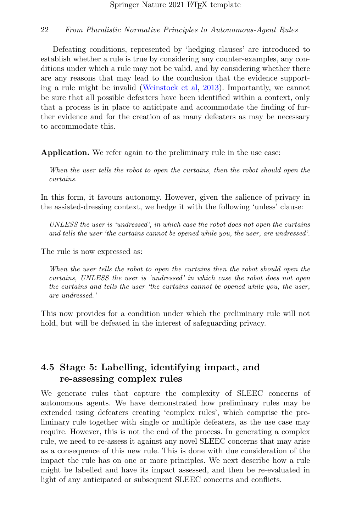Defeating conditions, represented by 'hedging clauses' are introduced to establish whether a rule is true by considering any counter-examples, any conditions under which a rule may not be valid, and by considering whether there are any reasons that may lead to the conclusion that the evidence supporting a rule might be invalid [\(Weinstock et al,](#page-29-12) [2013\)](#page-29-12). Importantly, we cannot be sure that all possible defeaters have been identified within a context, only that a process is in place to anticipate and accommodate the finding of further evidence and for the creation of as many defeaters as may be necessary to accommodate this.

Application. We refer again to the preliminary rule in the use case:

When the user tells the robot to open the curtains, then the robot should open the curtains.

In this form, it favours autonomy. However, given the salience of privacy in the assisted-dressing context, we hedge it with the following 'unless' clause:

UNLESS the user is 'undressed', in which case the robot does not open the curtains and tells the user 'the curtains cannot be opened while you, the user, are undressed'.

The rule is now expressed as:

When the user tells the robot to open the curtains then the robot should open the curtains, UNLESS the user is 'undressed' in which case the robot does not open the curtains and tells the user 'the curtains cannot be opened while you, the user, are undressed.'

This now provides for a condition under which the preliminary rule will not hold, but will be defeated in the interest of safeguarding privacy.

## 4.5 Stage 5: Labelling, identifying impact, and re-assessing complex rules

We generate rules that capture the complexity of SLEEC concerns of autonomous agents. We have demonstrated how preliminary rules may be extended using defeaters creating 'complex rules', which comprise the preliminary rule together with single or multiple defeaters, as the use case may require. However, this is not the end of the process. In generating a complex rule, we need to re-assess it against any novel SLEEC concerns that may arise as a consequence of this new rule. This is done with due consideration of the impact the rule has on one or more principles. We next describe how a rule might be labelled and have its impact assessed, and then be re-evaluated in light of any anticipated or subsequent SLEEC concerns and conflicts.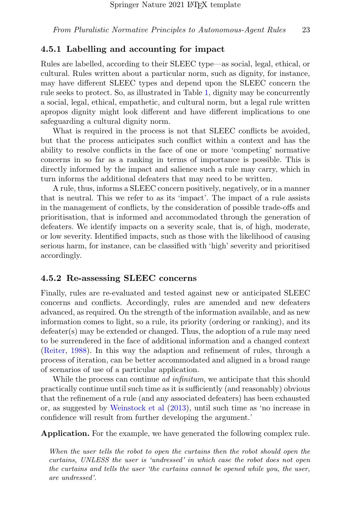### 4.5.1 Labelling and accounting for impact

Rules are labelled, according to their SLEEC type—as social, legal, ethical, or cultural. Rules written about a particular norm, such as dignity, for instance, may have different SLEEC types and depend upon the SLEEC concern the rule seeks to protect. So, as illustrated in Table [1,](#page-5-0) dignity may be concurrently a social, legal, ethical, empathetic, and cultural norm, but a legal rule written apropos dignity might look different and have different implications to one safeguarding a cultural dignity norm.

What is required in the process is not that SLEEC conflicts be avoided, but that the process anticipates such conflict within a context and has the ability to resolve conflicts in the face of one or more 'competing' normative concerns in so far as a ranking in terms of importance is possible. This is directly informed by the impact and salience such a rule may carry, which in turn informs the additional defeaters that may need to be written.

A rule, thus, informs a SLEEC concern positively, negatively, or in a manner that is neutral. This we refer to as its 'impact'. The impact of a rule assists in the management of conflicts, by the consideration of possible trade-offs and prioritisation, that is informed and accommodated through the generation of defeaters. We identify impacts on a severity scale, that is, of high, moderate, or low severity. Identified impacts, such as those with the likelihood of causing serious harm, for instance, can be classified with 'high' severity and prioritised accordingly.

### 4.5.2 Re-assessing SLEEC concerns

Finally, rules are re-evaluated and tested against new or anticipated SLEEC concerns and conflicts. Accordingly, rules are amended and new defeaters advanced, as required. On the strength of the information available, and as new information comes to light, so a rule, its priority (ordering or ranking), and its defeater(s) may be extended or changed. Thus, the adoption of a rule may need to be surrendered in the face of additional information and a changed context [\(Reiter,](#page-28-16) [1988\)](#page-28-16). In this way the adaption and refinement of rules, through a process of iteration, can be better accommodated and aligned in a broad range of scenarios of use of a particular application.

While the process can continue *ad infinitum*, we anticipate that this should practically continue until such time as it is sufficiently (and reasonably) obvious that the refinement of a rule (and any associated defeaters) has been exhausted or, as suggested by [Weinstock et al](#page-29-12) [\(2013\)](#page-29-12), until such time as 'no increase in confidence will result from further developing the argument.'

Application. For the example, we have generated the following complex rule.

When the user tells the robot to open the curtains then the robot should open the curtains, UNLESS the user is 'undressed' in which case the robot does not open the curtains and tells the user 'the curtains cannot be opened while you, the user, are undressed'.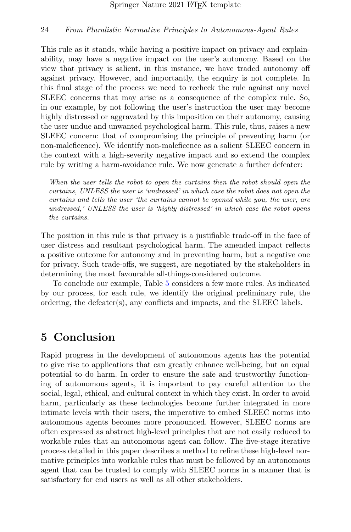This rule as it stands, while having a positive impact on privacy and explainability, may have a negative impact on the user's autonomy. Based on the view that privacy is salient, in this instance, we have traded autonomy off against privacy. However, and importantly, the enquiry is not complete. In this final stage of the process we need to recheck the rule against any novel SLEEC concerns that may arise as a consequence of the complex rule. So, in our example, by not following the user's instruction the user may become highly distressed or aggravated by this imposition on their autonomy, causing the user undue and unwanted psychological harm. This rule, thus, raises a new SLEEC concern: that of compromising the principle of preventing harm (or non-maleficence). We identify non-maleficence as a salient SLEEC concern in the context with a high-severity negative impact and so extend the complex rule by writing a harm-avoidance rule. We now generate a further defeater:

When the user tells the robot to open the curtains then the robot should open the curtains, UNLESS the user is 'undressed' in which case the robot does not open the curtains and tells the user 'the curtains cannot be opened while you, the user, are undressed,' UNLESS the user is 'highly distressed' in which case the robot opens the curtains.

The position in this rule is that privacy is a justifiable trade-off in the face of user distress and resultant psychological harm. The amended impact reflects a positive outcome for autonomy and in preventing harm, but a negative one for privacy. Such trade-offs, we suggest, are negotiated by the stakeholders in determining the most favourable all-things-considered outcome.

To conclude our example, Table [5](#page-24-0) considers a few more rules. As indicated by our process, for each rule, we identify the original preliminary rule, the ordering, the defeater(s), any conflicts and impacts, and the SLEEC labels.

## 5 Conclusion

Rapid progress in the development of autonomous agents has the potential to give rise to applications that can greatly enhance well-being, but an equal potential to do harm. In order to ensure the safe and trustworthy functioning of autonomous agents, it is important to pay careful attention to the social, legal, ethical, and cultural context in which they exist. In order to avoid harm, particularly as these technologies become further integrated in more intimate levels with their users, the imperative to embed SLEEC norms into autonomous agents becomes more pronounced. However, SLEEC norms are often expressed as abstract high-level principles that are not easily reduced to workable rules that an autonomous agent can follow. The five-stage iterative process detailed in this paper describes a method to refine these high-level normative principles into workable rules that must be followed by an autonomous agent that can be trusted to comply with SLEEC norms in a manner that is satisfactory for end users as well as all other stakeholders.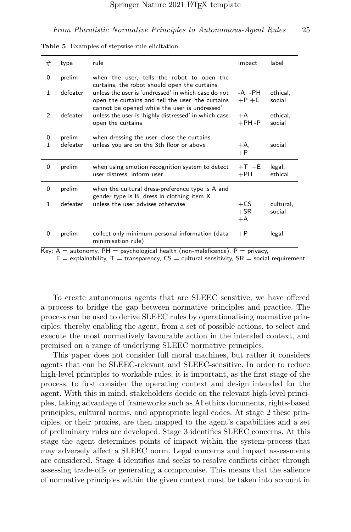| #                 | type               | rule                                                                                                                       | impact                  | label               |
|-------------------|--------------------|----------------------------------------------------------------------------------------------------------------------------|-------------------------|---------------------|
| 0                 | prelim             | when the user, tells the robot to open the<br>curtains, the robot should open the curtains                                 |                         |                     |
| $\mathbf{1}$      | defeater           | unless the user is 'undressed' in which case do not<br>open the curtains and tell the user 'the curtains                   | $-A$ $-PH$<br>$+P$ +E   | ethical,<br>social  |
| 2                 | defeater           | cannot be opened while the user is undressed'<br>unless the user is 'highly distressed' in which case<br>open the curtains | $+A$<br>$+$ PH -P       | ethical.<br>social  |
| 0<br>$\mathbf{1}$ | prelim<br>defeater | when dressing the user, close the curtains<br>unless you are on the 3th floor or above                                     | $+A.$<br>$+P$           | social              |
| $\mathbf 0$       | prelim             | when using emotion recognition system to detect<br>user distress, inform user                                              | $+T$ +E<br>$+PH$        | legal,<br>ethical   |
| 0                 | prelim             | when the cultural dress-preference type is A and<br>gender type is B, dress in clothing item X                             |                         |                     |
| $\mathbf{1}$      | defeater           | unless the user advises otherwise                                                                                          | $+CS$<br>$+$ SR<br>$+A$ | cultural,<br>social |
| $\Omega$          | prelim             | collect only minimum personal information (data<br>minimisation rule)                                                      | $+P$                    | legal               |

<span id="page-24-0"></span>Table 5 Examples of stepwise rule elicitation

Key:  $A =$  autonomy,  $PH =$  psychological health (non-maleficence),  $P =$  privacy,

 $E =$  explainability,  $T =$  transparency,  $CS =$  cultural sensitivity,  $SR =$  social requirement

To create autonomous agents that are SLEEC sensitive, we have offered a process to bridge the gap between normative principles and practice. The process can be used to derive SLEEC rules by operationalising normative principles, thereby enabling the agent, from a set of possible actions, to select and execute the most normatively favourable action in the intended context, and premised on a range of underlying SLEEC normative principles.

This paper does not consider full moral machines, but rather it considers agents that can be SLEEC-relevant and SLEEC-sensitive. In order to reduce high-level principles to workable rules, it is important, as the first stage of the process, to first consider the operating context and design intended for the agent. With this in mind, stakeholders decide on the relevant high-level principles, taking advantage of frameworks such as AI ethics documents, rights-based principles, cultural norms, and appropriate legal codes. At stage 2 these principles, or their proxies, are then mapped to the agent's capabilities and a set of preliminary rules are developed. Stage 3 identifies SLEEC concerns. At this stage the agent determines points of impact within the system-process that may adversely affect a SLEEC norm. Legal concerns and impact assessments are considered. Stage 4 identifies and seeks to resolve conflicts either through assessing trade-offs or generating a compromise. This means that the salience of normative principles within the given context must be taken into account in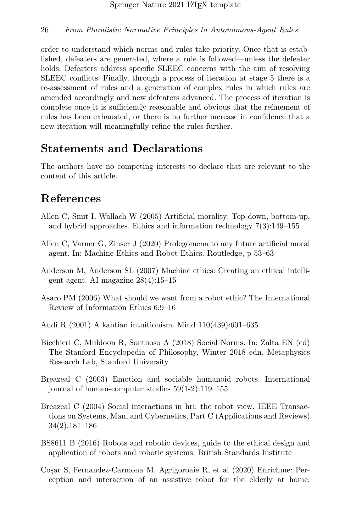order to understand which norms and rules take priority. Once that is established, defeaters are generated, where a rule is followed—unless the defeater holds. Defeaters address specific SLEEC concerns with the aim of resolving SLEEC conflicts. Finally, through a process of iteration at stage 5 there is a re-assessment of rules and a generation of complex rules in which rules are amended accordingly and new defeaters advanced. The process of iteration is complete once it is sufficiently reasonable and obvious that the refinement of rules has been exhausted, or there is no further increase in confidence that a new iteration will meaningfully refine the rules further.

## Statements and Declarations

The authors have no competing interests to declare that are relevant to the content of this article.

## References

- <span id="page-25-1"></span>Allen C, Smit I, Wallach W (2005) Artificial morality: Top-down, bottom-up, and hybrid approaches. Ethics and information technology 7(3):149–155
- <span id="page-25-3"></span>Allen C, Varner G, Zinser J (2020) Prolegomena to any future artificial moral agent. In: Machine Ethics and Robot Ethics. Routledge, p 53–63
- <span id="page-25-2"></span>Anderson M, Anderson SL (2007) Machine ethics: Creating an ethical intelligent agent. AI magazine 28(4):15–15
- <span id="page-25-5"></span>Asaro PM (2006) What should we want from a robot ethic? The International Review of Information Ethics 6:9–16
- <span id="page-25-9"></span>Audi R (2001) A kantian intuitionism. Mind 110(439):601–635
- <span id="page-25-0"></span>Bicchieri C, Muldoon R, Sontuoso A (2018) Social Norms. In: Zalta EN (ed) The Stanford Encyclopedia of Philosophy, Winter 2018 edn. Metaphysics Research Lab, Stanford University
- <span id="page-25-8"></span>Breazeal C (2003) Emotion and sociable humanoid robots. International journal of human-computer studies 59(1-2):119–155
- <span id="page-25-4"></span>Breazeal C (2004) Social interactions in hri: the robot view. IEEE Transactions on Systems, Man, and Cybernetics, Part C (Applications and Reviews) 34(2):181–186
- <span id="page-25-7"></span>BS8611 B (2016) Robots and robotic devices, guide to the ethical design and application of robots and robotic systems. British Standards Institute
- <span id="page-25-6"></span>Co¸sar S, Fernandez-Carmona M, Agrigoroaie R, et al (2020) Enrichme: Perception and interaction of an assistive robot for the elderly at home.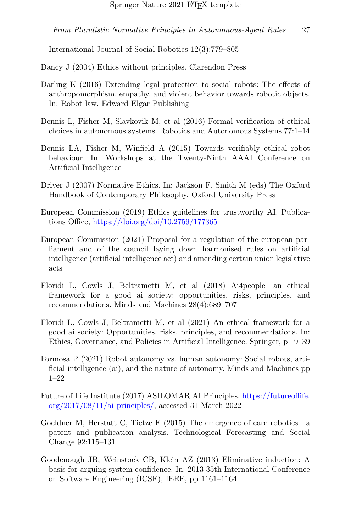International Journal of Social Robotics 12(3):779–805

<span id="page-26-6"></span>Dancy J (2004) Ethics without principles. Clarendon Press

- <span id="page-26-11"></span>Darling K (2016) Extending legal protection to social robots: The effects of anthropomorphism, empathy, and violent behavior towards robotic objects. In: Robot law. Edward Elgar Publishing
- <span id="page-26-5"></span>Dennis L, Fisher M, Slavkovik M, et al (2016) Formal verification of ethical choices in autonomous systems. Robotics and Autonomous Systems 77:1–14
- <span id="page-26-1"></span>Dennis LA, Fisher M, Winfield A (2015) Towards verifiably ethical robot behaviour. In: Workshops at the Twenty-Ninth AAAI Conference on Artificial Intelligence
- <span id="page-26-0"></span>Driver J (2007) Normative Ethics. In: Jackson F, Smith M (eds) The Oxford Handbook of Contemporary Philosophy. Oxford University Press
- <span id="page-26-8"></span>European Commission (2019) Ethics guidelines for trustworthy AI. Publications Office, <https://doi.org/doi/10.2759/177365>
- <span id="page-26-12"></span>European Commission (2021) Proposal for a regulation of the european parliament and of the council laying down harmonised rules on artificial intelligence (artificial intelligence act) and amending certain union legislative acts
- <span id="page-26-9"></span>Floridi L, Cowls J, Beltrametti M, et al (2018) Ai4people—an ethical framework for a good ai society: opportunities, risks, principles, and recommendations. Minds and Machines 28(4):689–707
- <span id="page-26-10"></span>Floridi L, Cowls J, Beltrametti M, et al (2021) An ethical framework for a good ai society: Opportunities, risks, principles, and recommendations. In: Ethics, Governance, and Policies in Artificial Intelligence. Springer, p 19–39
- <span id="page-26-3"></span>Formosa P (2021) Robot autonomy vs. human autonomy: Social robots, artificial intelligence (ai), and the nature of autonomy. Minds and Machines pp 1–22
- <span id="page-26-4"></span>Future of Life Institute (2017) ASILOMAR AI Principles. [https://futureoflife.](https://futureoflife.org/2017/08/11/ai-principles/) [org/2017/08/11/ai-principles/,](https://futureoflife.org/2017/08/11/ai-principles/) accessed 31 March 2022
- <span id="page-26-7"></span>Goeldner M, Herstatt C, Tietze F (2015) The emergence of care robotics—a patent and publication analysis. Technological Forecasting and Social Change 92:115–131
- <span id="page-26-2"></span>Goodenough JB, Weinstock CB, Klein AZ (2013) Eliminative induction: A basis for arguing system confidence. In: 2013 35th International Conference on Software Engineering (ICSE), IEEE, pp 1161–1164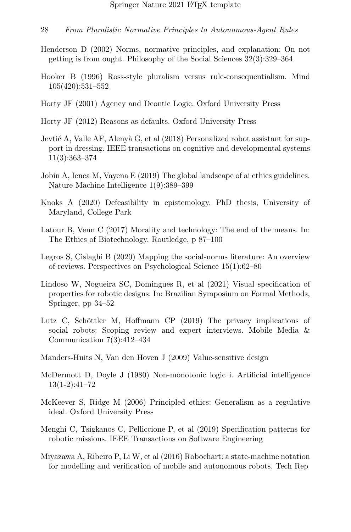- <span id="page-27-9"></span>Henderson D (2002) Norms, normative principles, and explanation: On not getting is from ought. Philosophy of the Social Sciences 32(3):329–364
- <span id="page-27-13"></span>Hooker B (1996) Ross-style pluralism versus rule-consequentialism. Mind 105(420):531–552
- <span id="page-27-7"></span>Horty JF (2001) Agency and Deontic Logic. Oxford University Press
- <span id="page-27-4"></span>Horty JF (2012) Reasons as defaults. Oxford University Press
- <span id="page-27-10"></span>Jevtić A, Valle AF, Alenyà G, et al  $(2018)$  Personalized robot assistant for support in dressing. IEEE transactions on cognitive and developmental systems 11(3):363–374
- <span id="page-27-11"></span>Jobin A, Ienca M, Vayena E (2019) The global landscape of ai ethics guidelines. Nature Machine Intelligence 1(9):389–399
- <span id="page-27-5"></span>Knoks A (2020) Defeasibility in epistemology. PhD thesis, University of Maryland, College Park
- <span id="page-27-8"></span>Latour B, Venn C (2017) Morality and technology: The end of the means. In: The Ethics of Biotechnology. Routledge, p 87–100
- <span id="page-27-12"></span>Legros S, Cislaghi B (2020) Mapping the social-norms literature: An overview of reviews. Perspectives on Psychological Science 15(1):62–80
- <span id="page-27-3"></span>Lindoso W, Nogueira SC, Domingues R, et al (2021) Visual specification of properties for robotic designs. In: Brazilian Symposium on Formal Methods, Springer, pp 34–52
- <span id="page-27-14"></span>Lutz C, Schöttler M, Hoffmann CP  $(2019)$  The privacy implications of social robots: Scoping review and expert interviews. Mobile Media & Communication 7(3):412–434
- <span id="page-27-6"></span>Manders-Huits N, Van den Hoven J (2009) Value-sensitive design
- <span id="page-27-15"></span>McDermott D, Doyle J (1980) Non-monotonic logic i. Artificial intelligence 13(1-2):41–72
- <span id="page-27-0"></span>McKeever S, Ridge M (2006) Principled ethics: Generalism as a regulative ideal. Oxford University Press
- <span id="page-27-1"></span>Menghi C, Tsigkanos C, Pelliccione P, et al (2019) Specification patterns for robotic missions. IEEE Transactions on Software Engineering
- <span id="page-27-2"></span>Miyazawa A, Ribeiro P, Li W, et al (2016) Robochart: a state-machine notation for modelling and verification of mobile and autonomous robots. Tech Rep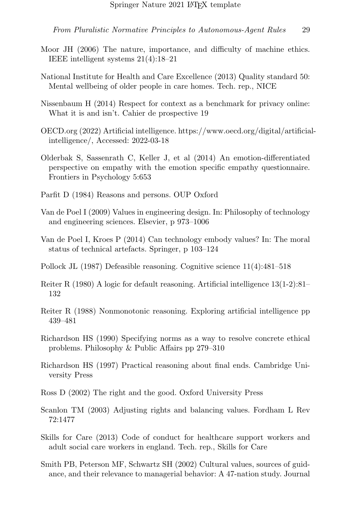- <span id="page-28-0"></span>Moor JH (2006) The nature, importance, and difficulty of machine ethics. IEEE intelligent systems 21(4):18–21
- <span id="page-28-6"></span>National Institute for Health and Care Excellence (2013) Quality standard 50: Mental wellbeing of older people in care homes. Tech. rep., NICE
- <span id="page-28-9"></span>Nissenbaum H (2014) Respect for context as a benchmark for privacy online: What it is and isn't. Cahier de prospective 19
- <span id="page-28-10"></span>OECD.org (2022) Artificial intelligence. https://www.oecd.org/digital/artificialintelligence/, Accessed: 2022-03-18
- <span id="page-28-11"></span>Olderbak S, Sassenrath C, Keller J, et al (2014) An emotion-differentiated perspective on empathy with the emotion specific empathy questionnaire. Frontiers in Psychology 5:653
- <span id="page-28-8"></span>Parfit D (1984) Reasons and persons. OUP Oxford
- <span id="page-28-4"></span>Van de Poel I (2009) Values in engineering design. In: Philosophy of technology and engineering sciences. Elsevier, p 973–1006
- <span id="page-28-1"></span>Van de Poel I, Kroes P (2014) Can technology embody values? In: The moral status of technical artefacts. Springer, p 103–124
- <span id="page-28-3"></span>Pollock JL (1987) Defeasible reasoning. Cognitive science 11(4):481–518
- <span id="page-28-15"></span>Reiter R (1980) A logic for default reasoning. Artificial intelligence 13(1-2):81– 132
- <span id="page-28-16"></span>Reiter R (1988) Nonmonotonic reasoning. Exploring artificial intelligence pp 439–481
- <span id="page-28-13"></span>Richardson HS (1990) Specifying norms as a way to resolve concrete ethical problems. Philosophy & Public Affairs pp 279–310
- <span id="page-28-2"></span>Richardson HS (1997) Practical reasoning about final ends. Cambridge University Press
- <span id="page-28-5"></span>Ross D (2002) The right and the good. Oxford University Press
- <span id="page-28-14"></span>Scanlon TM (2003) Adjusting rights and balancing values. Fordham L Rev 72:1477
- <span id="page-28-7"></span>Skills for Care (2013) Code of conduct for healthcare support workers and adult social care workers in england. Tech. rep., Skills for Care
- <span id="page-28-12"></span>Smith PB, Peterson MF, Schwartz SH (2002) Cultural values, sources of guidance, and their relevance to managerial behavior: A 47-nation study. Journal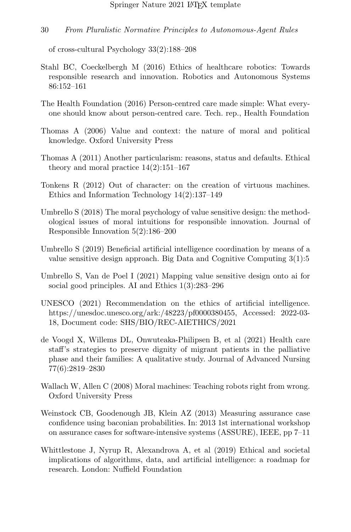of cross-cultural Psychology 33(2):188–208

- <span id="page-29-1"></span>Stahl BC, Coeckelbergh M (2016) Ethics of healthcare robotics: Towards responsible research and innovation. Robotics and Autonomous Systems 86:152–161
- <span id="page-29-7"></span>The Health Foundation (2016) Person-centred care made simple: What everyone should know about person-centred care. Tech. rep., Health Foundation
- <span id="page-29-4"></span>Thomas A (2006) Value and context: the nature of moral and political knowledge. Oxford University Press
- <span id="page-29-0"></span>Thomas A (2011) Another particularism: reasons, status and defaults. Ethical theory and moral practice 14(2):151–167
- <span id="page-29-6"></span>Tonkens R (2012) Out of character: on the creation of virtuous machines. Ethics and Information Technology 14(2):137–149
- <span id="page-29-9"></span>Umbrello S (2018) The moral psychology of value sensitive design: the methodological issues of moral intuitions for responsible innovation. Journal of Responsible Innovation 5(2):186–200
- <span id="page-29-2"></span>Umbrello S (2019) Beneficial artificial intelligence coordination by means of a value sensitive design approach. Big Data and Cognitive Computing 3(1):5
- <span id="page-29-3"></span>Umbrello S, Van de Poel I (2021) Mapping value sensitive design onto ai for social good principles. AI and Ethics 1(3):283–296
- <span id="page-29-10"></span>UNESCO (2021) Recommendation on the ethics of artificial intelligence. https://unesdoc.unesco.org/ark:/48223/pf0000380455, Accessed: 2022-03- 18, Document code: SHS/BIO/REC-AIETHICS/2021
- <span id="page-29-8"></span>de Voogd X, Willems DL, Onwuteaka-Philipsen B, et al (2021) Health care staff's strategies to preserve dignity of migrant patients in the palliative phase and their families: A qualitative study. Journal of Advanced Nursing 77(6):2819–2830
- <span id="page-29-5"></span>Wallach W, Allen C (2008) Moral machines: Teaching robots right from wrong. Oxford University Press
- <span id="page-29-12"></span>Weinstock CB, Goodenough JB, Klein AZ (2013) Measuring assurance case confidence using baconian probabilities. In: 2013 1st international workshop on assurance cases for software-intensive systems (ASSURE), IEEE, pp 7–11
- <span id="page-29-11"></span>Whittlestone J, Nyrup R, Alexandrova A, et al (2019) Ethical and societal implications of algorithms, data, and artificial intelligence: a roadmap for research. London: Nuffield Foundation